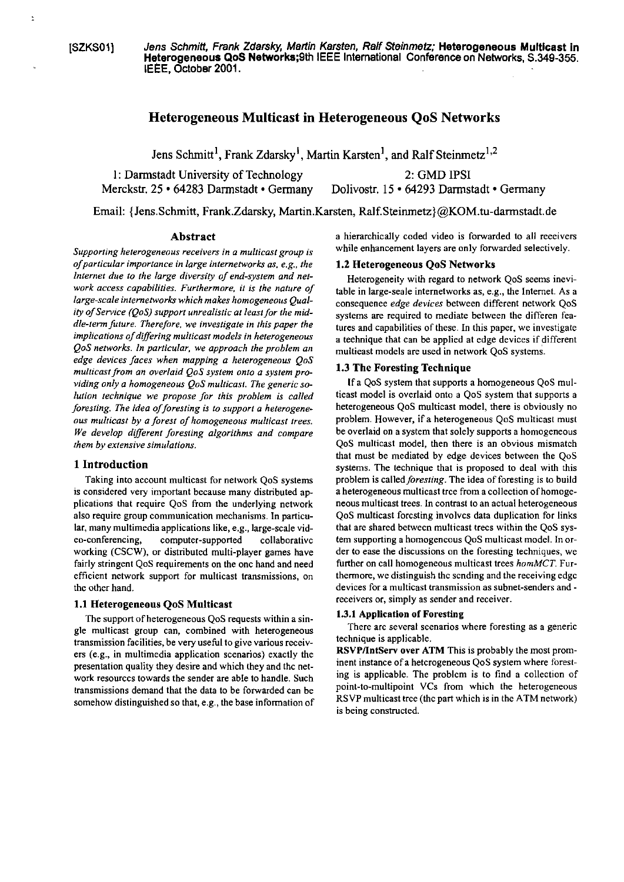$\ddot{\phantom{0}}$ 

[SZKSOl] **Jens Schmift, Frank Zdarsky, Martin Karsten, Ralf Steinmetz; Heterogeneous Multlcast in Heterogeneous QoS Networks;Sth** IEEE International Conference on Networks, 5.348-355. IEEE. October 2001.

# **Heterogeneous Multicast in Heterogeneous QoS Networks**

Jens Schmitt<sup>1</sup>, Frank Zdarsky<sup>1</sup>, Martin Karsten<sup>1</sup>, and Ralf Steinmetz<sup>1,2</sup>

1: Darmstadt University of Technology 2: GMD IPSI Merckstr. 25 · 64283 Darmstadt · Germany Dolivostr. 15 · 64293 Darmstadt · Germany

Email: {Jens.Schrnitt, Frank.Zdarsky, Martin.Karsten, **Ralf.Steinmetz}@KOM.tu-darmstadt.de** 

# **Abstract**

*Supporting heterogeneous receivers in a multicast group is ofporticular importance in large internehvorks as. e.g., the Interner due ro the large diversiiy of end-sysrem and network access capabiliiies. Furthermore, if is the nature of*  large-scale internetworks which makes homogeneous Oual*iiy of Service (QoS) support unrealistic at least for fhe middle-lern fufure. Therefore, we investigate in thispaper fhe implications of differing multicasf models in heterogeneous QoS nehvorkr. In particular, we approach the problem an edge devices faces when mapping a heterogeneous QoS multicasr from an overlaid QoS sysfem onro a system providing only a homogeneous QoS multicasf. The generic solution technique we propose for this problem is called foresting. The idea of foresting is to suppori a heterogeneaus multicait by a forest of homogeneous mulficasr irees. We develop diflerent foresiing algorithms and compare them by extensive simulations.* 

# **1 Introduction**

Taking into account multicast for network QoS systems is considered very important because many distributed applications that require QoS from the underlying network also require group communication mechanisms. In particular, many multimedia applications like, e.g., large-scale vidcomputer-supported collaborative working (CSCW), or distributed multi-player games have fairly stringent QoS requirements on the onc hand and need efficient network support for multicast transmissions, on the other hand.

## **1.1 Heterogeneous QoS Multicast**

The support of heterogeneous OoS requests within a single multicast group can, combined with heterogeneous transmission facilities, be very useful to give various receivers (e.g., in multimedia application scenarios) exactly the presentation quality they desire and which they and thc network resourccs towards the sender are able to handle. Such transmissions demand that the data to be forwarded can be somehow distinguished so that, e.g., the base inforrnation of a hierarchically coded video is forwarded to all reeeivers while enhancement layers are only forwarded selectively.

### 1.2 **Heterogeneous QoS Networks**

Heterogencity with regard to nctwork QoS seems inevitable in large-seale internetworks as, e.g., the Internet. As a consequenee *edge devices* between different network QoS systems are required to mediate between the differen features and capabilities of these. In this paper, we investigate a teehnique that can be applied at edge devices if different multieast models are used in network QoS systems.

# **1.3 The Foresting Technique**

If a QoS system that supports a homogeneous QoS multieast model is overlaid onto a QoS system that supports a heterogeneous QoS multicast model, there is obviously no problem. However, if a heterogeneous QoS multicast must be overlaid on a system that solely supports a homogeneous QoS multicast model, then there is an obvious mismatch that must be mediated by edge devices between the QoS systems. The technique that is proposed to deal with this problem is called *foresiing.* The idea of foresting is to build a heterogeneous multicast trce from a collection of homogeneous multicast trees. In contrast to an actual heterogeneous QoS multicast forcsting involvcs data duplication for links that are shared betwecn multicast trecs within the QoS system supporting a homogencous QoS multicast model. In order to ease the discussions on the foresting techniques, we further on call homogeneous multicast trees homMCT. Furthemore, we distinguish thc scnding and the receiving edgc devices for a multicast transmission as subnet-senders and receivers or, simply as sender and receiver.

## **1.3.1 Applicstion of Foresting**

There arc several scenarios where foresting as a generic technique is applicable.

**RSVP/IntServ over ATM This is probably the most prom**inent instance of a hetcrogeneous QoS system where foresting is applicable. The problcm is to find a collection of point-to-multipoint VCs from which the heterogeneous RSVP multicast trce (thc part which is in the ATM network) is being constmcted.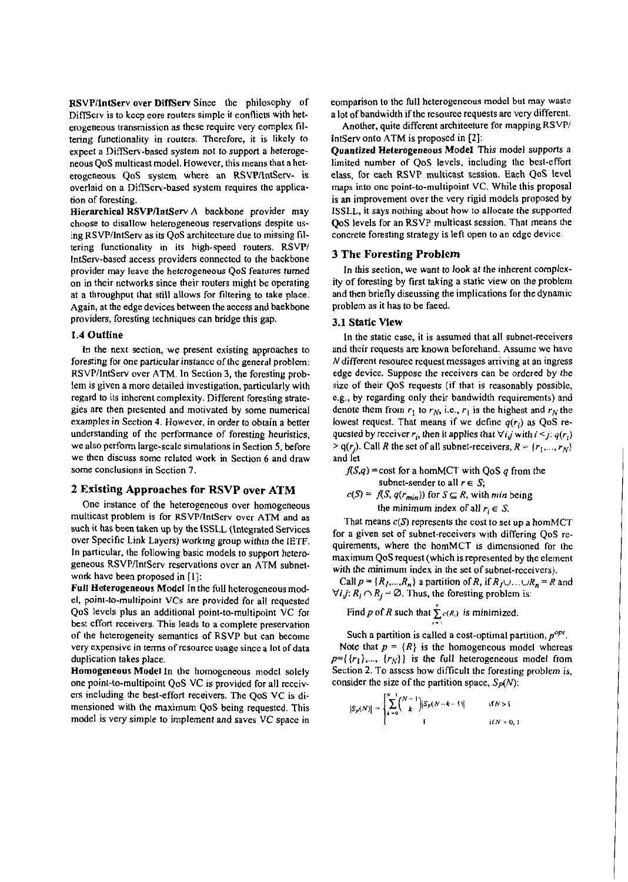RSVPlIntServ over DiffServ Sinee the philosophy of DifIServ is to kecp core routers simple it eonfliets with heterogeneous transmission as these require very eomplex filtering funetionality in routers. Thcrcfore, it is likely to expeet a DiffServ-based system not to support a heterogeneous QoS multieast model. However, this means that a hcterogeneous QoS system where an RSVPiLntServ- is overlaid on a DifTServ-based system requires the applieation of foresting.

Hierarchical RSVP/IntServ A backbone provider may choose **to** disallow hebrogeneous reservations despite using RSVPilntServ as its QoS architeeture due to missing filtering functionality in its high-speed routers. RSVP/ IntServ-based aecess providers eonnected to the backbone provider may leave the heterogeneous QoS features tumed on in their networks since their routers might be operating at a throughput that still allows for filtering to take place. Again, at the edge devices between the aecess and baekbone providers, foresting techniques can bridge this gap.

### 1.4 Outline

In the next section, we present existing approaches to foresting for one particular instance of the general problem: RSVP/IntServ over ATM. In Section 3, the foresting problem is given a more detailed investigation, particularly with regard to its inherent complexiiy. Different foresting strategies are then presented and motivated by some numerical examples in Section 4. However. in order to obtain a better understanding of the performance of foresting heuristics, we also perform large-scale simulations in Section **5,** before we then discuss some related work in Section 6 and draw some conclusions in Scction 7.

# **2 Existing Approaches for** RSVP **over ATM**

One instance of the heterogeneous over homogeneous multicast problem is for RSVP/lntServ over ATM and as such it has been taken up by the tSSLL (Integrated Services over Specific Link Layers) working group within the IETF. In particular, the following basic models to support heterogeneous RSVP/intServ reservations over an ATM subnetwork have been proposed in  $[1]$ :

Full Heterogeneous Model In the full heterogeneous model, point-to-multipoint VCs are prorided for all requested QoS levels plus an additional point-to-multipoint VC for best cffort rcceivers. This leads to a complete presewation of the heterogeneity semantics of RSVP but can become very expensive in tems of resourcc usage since a lot of data duplication takes place.

Homogeneous Model In the homogeneous modcl solcly one point-to-multipoint QoS VC is provided for all reccivers including the best-effort receivers. The QoS VC is dimensioned with the maximum QoS being requested. This model is very simple to implement and saves VC space in

eomparison to the full heterogeneous model but may waste a lot of bandwidth if the resouree requests are very different.

Another, quite different architeeture for mapping RSVP/ IntServ onto ATM is proposed in **(21:** 

Quantized Heterogeneous Mode1 This model supports a limited number of QoS levels. including the best-effort elass, for eaeh RSVP multicast session. Each QoS level maps into onc point-to-multipoint VC. While this proposal is an improvement over the very rigid models proposed by ISSLL, it says nothing about how to allacate the supported QoS levels for an RSVP multicast session. That means ihe concrete foresting strategy is left Open to an cdgc device.

# **3 The Foresting** Problem

In this section, we Want to look at the inherent complexity of foresting by first taking a statie view on the problem and then briefly diseussing the implications for the dynamic problem as it has to be faeed.

# 3.1 **stanc** View

In the static case, it is assumed that all subnet-receivers and their requests are known beforehand. Assume we have  $N$  different resouree request messages arriving at an ingress edge device. Suppose the receivers can be ordered by the sizc of their QoS requests (if that is reasonably possible, e.g., by regarding only their bandwidth requirements) and denote them from  $r_1$  to  $r_N$ , i.e.,  $r_1$  is the highest and  $r_N$  the lowest request. That means if we define  $q(r_i)$  as QoS requested by receiver  $r_i$ , then it applies that  $\forall i, j$  with  $i \leq j$ :  $q(r_i)$  $> q(r_i)$ . Call R the set of all subnet-receivers,  $R = \{r_1, ..., r_N\}$ and let

 $f(S,q)$  = cost for a homMCT with QoS q from the subnet-sender to all  $r \in S$ ;

$$
c(S) = f(S, q(r_{min}))
$$
 for  $S \subseteq R$ , with min being  
the minimum index of all  $r_i \in S$ .

That means  $c(S)$  represents the cost to set up a homMCT for a given set of subnet-receivers with differing QoS requirements, where the homMCT is dimensioned for ihe maximum QoS request (which is represented by the element with the minimum index in the set of subnet-receivers).

Call  $p = {R_1,..., R_n}$  a partition of R, if  $R_1 \cup ... \cup R_n = R$  and  $\forall i, j: R_i \cap R_j = \emptyset$ . Thus, the foresting problem is:

Find p of R such that 
$$
\sum_{i=1}^{n} c(R_i)
$$
 is minimized.

Such a partition is called a cost-optimal partition,  $p^{opt}$ .

Note that  $p = \{R\}$  is the homogeneous model whereas  $p = \{r_1\}, \dots, \{r_N\}$  is the full heterogeneous model from Section 2. To assess how difficult the foresting problem is, consider the size of the partition space,  $S<sub>P</sub>(N)$ :

$$
|S_p(N)| = \begin{cases} \sum_{k=0}^{N-1} {N-1 \choose k} |S_p(N-k-1)| & \text{if } N > 1 \\ 1 & \text{if } N = 0, 1 \end{cases}
$$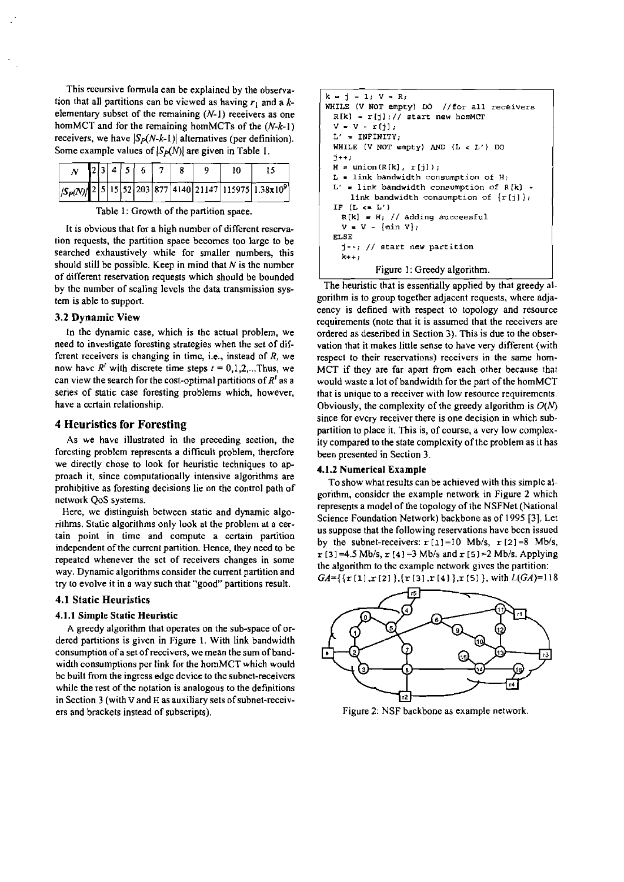This reeursive formula ean be explained by the observation that all partitions can be viewed as having  $r_1$  and a kelementary subset of the remaining  $(N-1)$  receivers as one homMCT and for the remaining homMCTs of the  $(N-k-1)$ receivers, we have  $|S_{\rho}(N-k-1)|$  alternatives (per definition). Some example values of  $|S_P(N)|$  are given in Table 1.

|  |  | 2 3 4 5 6 |  |  |                                                               |
|--|--|-----------|--|--|---------------------------------------------------------------|
|  |  |           |  |  | $ S_{P}(N)/ 2 5 15 52 203 877 4140 21147 115975 1.38x10^{9} $ |

Table 1: Growth of the partition spaee.

It is obvious that for a high number of different reservaiion requests, the partition spaee beeornes too large to be searched exhaustively while for smaller numbers, this should still be possible. Keep in mind that  $N$  is the number of different reservation requests which should be bounded by the number of sealing levels the data transmission system is able to support.

# **3.2 Dynamic** View

In the dynamic ease, which is the aetual problem, we need to investigate foresting strategies when the set of different receivers is changing in time, i.e., instead of  $R$ , we now have  $R^t$  with discrete time steps  $t = 0,1,2,...$  Thus, we can view the search for the cost-optimal partitions of *R'* as a series of static case foresting problems which. however, have a ccrtain relationship.

# **4 Heuristics for Foresting**

As we have illustrated in the preceding seetion, the forcsting problem represents a difficult problem, therefore we directly chose to look for heuristic techniques to approach it, since computationally intensive algorithms are prohibitive as foresting decisions lie on the control path of network QoS Systems.

Here, we distinguish between static and dynamic algoriihms. Static algorithms only look at the problem at a certain point in time and compute a certain partition independcnt of the currcnt partition. Hence, ihey need to be repeatcd whenever the sct of receivers changes in some way. Dynamic algorithms consider the current partition and try to evolve it in a way such that "good" partitions result.

# **4.1 Static Heuristics**

#### **4.1.1** Simple Static Heuristic

**A** greedy algorithm that operates on the sub-space of ordered partitions is given in Figure I. With link bandwidth consumption of a set of reccivers, we mean the sum of bandwidth consumptions per link for the homMCT which would bc built from the ingress edge device to the subnet-receivers while the rest of the notation is analogous to the definitions in Section 3 (with V and H as auxiliary sets of subnet-receivers and brackets instead of subscripts).

```
k = j = 1; V = R;WHILE (V NOT empty) DO //for all receivers
 R[k] = r[j]// start new homMCT
 V= V - rljl; 
 L' x INFINITY;
 WHILE (V NOT empty) ANU (L < L') D0 
 j_{++};
 H = union(R[k], r[j]);L = link bandwidth consumption of H;
 L' = link bandwidth consumption of R[k] +
     link bandwidth consumption of \{r[i]\}\;
 IF (L \leq L')R[kl - H; I/ adding successful 
   V = V - \{\min V\};
 ELSE 
   j--; // atart new partition 
   k++;
          Figure 1: Greedy algorithm.
```
The heuristic that is essentially applied by that greedy algorithm is to group togetber adjacent requests, where adjaeency is defined with respect to topology and resource reauirements (note that it is assumed that the receivers are ordered as deseribed in Section 3). This is due ro the observation that it makes little sense to have very different (with respect to their reservations) receivers in the same horn-MCT if they are far apart from each other because that would waste a lot of bandwidth for the part of the homMCT that is unique to a receiver with low resource requiremcnts. Obviously, the complexity of the greedy algorithm is **O(N)**  since for evcry receiver there is one decision in which subpartition to place it. This is, of course, a very low complexity compared to the state complexity of the problem as it has been presented in Section 3.

### **4.1.2** Numerical Example

To show what results can be achieved with this simple algorithm, considcr the example network in Figure 2 which represents a model of the topology of the NSFNet (National Science Foundation Network) backbone as of 1995 [3]. Let us supposc that the following reservations have bccn issued by the subnet-receivers:  $r[1] = 10$  Mb/s,  $r[2] = 8$  Mb/s,  $r$  [3] =4.5 Mb/s,  $r$  [4] =3 Mb/s and  $r$  [5] =2 Mb/s. Applying thc algorithm to the example network gives the partition:  $GA=\{\{r[1],r[2]\},\{r[3],r[4]\},r[5]\},$  with  $L(GA)=118$ 



Figure 2: NSF backbone as example network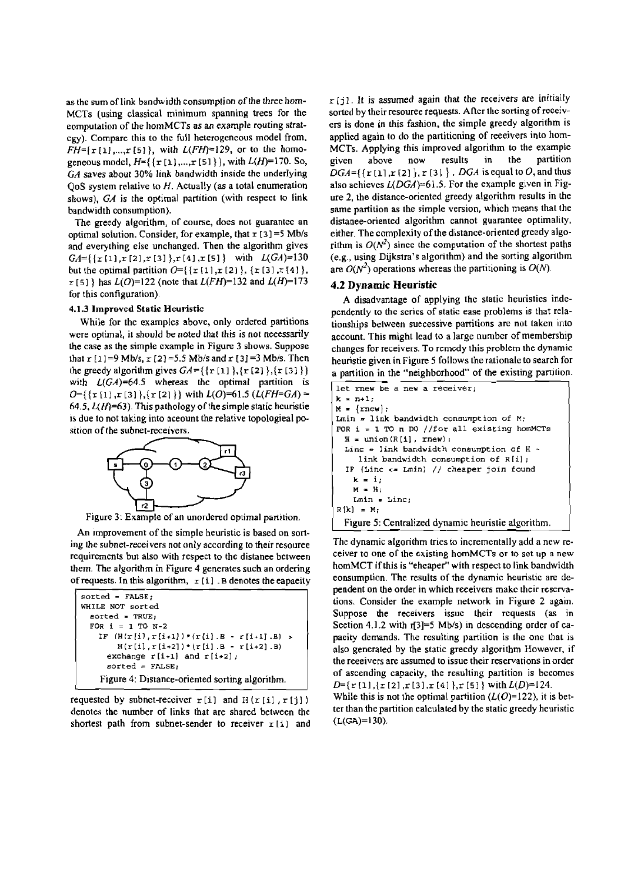as the sum of link bandwidth consumption of the three hom-MCTs (using classical minimum spanning trees for the eomputation of the homMCTs as an example routing slrategy). Comparc this to the full heterogeneous model from.  $FH=[r(1),...,r(5)]$ , with  $L(FH)=129$ , or to the homogeneous model,  $H = \{ \{r[1], ..., r[5]\} \}$ , with  $L(H) = 170$ . So,  $GA$  saves about 30% link bandwidth inside the underlying  $\cos$  system relative to H. Actually (as a total enumeration shows),  $GA$  is the optimal partition (with respect to link bandwidth consumption).

The greedy algorithm, of eourse, does not guarantee an optimal solution. Consider, for example, that  $r$  [3] =5 Mb/s and everything else unchanged. Then the algorithm gives  $GA = \{ \{r(1), r(2), r(3)\}, r(4), r(5) \}$  with  $L(GA) = 130$ but the optimal partition  $O = \{ \{r[1], r[2] \}, \{r[3], r[4] \},\}$  $r$  [5] } has  $L(O)=122$  (note that  $L(FH)=132$  and  $L(H)=173$ for this configuration).

# 4.1.3 lmproved **Ststic** Heuristic

While for the examples above, only ordered partitions were optimal, it should be noted that this is not neeessarily the case as the simple example in Figure 3 shows. Suppose that  $r(1) = 9$  Mb/s,  $r(2) = 5.5$  Mb/s and  $r(3) = 3$  Mb/s. Then the greedy algorithm gives  $GA = \{ \{r[1]\}, \{r[2]\}, \{r[3]\} \}$ with  $L(GA)=64.5$  whereas the optimal partition is  $O=\{\{r(1), r(3)\},\{r(2)\}\}\$  with  $L(O)=61.5$  ( $L(FH=G A)$  = 64.5,  $L(H)=63$ ). This pathology of the simple static heuristie is due to not taking into aceount the relative topologieal position of the subnet-receivers. **E** (*C)*=122 (note that  $L(r)$  files and  $L(r)$  files and  $L(r)$  files and  $L(r)$  files and  $L(r)$  files and  $r$  is the simple camples above, only ordered partitions in the series of static examples above, only ordered partit



Figure 3: Example of an unordered optimal partition.

An improvement of the simple heuristic is based on sorting the subnet-receivers not only according to their resouree requirements but also with respect to the distanee between them. The algorithm in Figure 4 generates such an ordering of requests. In this algorithm,  $r[i]$ . B denotes the eapaeity

```
sorted = FALSE;WHILE NOT sorted
  sorted = TRUE; 
  FOR i = 1 TO N-2IF (H(r[i],r[i+1])*(r[i],B - r[i+1],B)H(r[i], r[i+2]) * (r[i], B - r[i+2], B)exchange r[i+1] and r[i+2];
     sorted = FALSE;Figure 4: Distance-oriented sorting algorithm.
```
requested by subnet-receiver  $r[i]$  and  $H(r[i], r[i])$ denotes the number of links that are shared between the shortest path from subnet-sender to receiver  $r[i]$  and **r** [j]. **Ii** is assumed again that the receivers are initially sorted by their resouree requests. After the sorting of receivers is done in this fashion, the simple greedy algorithm is applied again to do the partitioning of reeeivers into hom-MCTs. Applying this improved algorithm to the example<br>given above now results in the partition given above now results in the partition  $DGA=\{r[1],r[2]\},r[3]\}.$  DGA is equal to O, and thus also aehieves  $L(DGA)=61.5$ . For the example given in Fig-Ure 2. the distance-oriented greedy algorithm results in the same partition as the simple version, which means that the distanee-oriented algorithm cannot guarantee optimality, either. The complexity of the distance-oriented greedy algorithm is  $O(N^2)$  since the computation of the shortest paths (e.g., using Dijkstra's algorithm) and the sorting algorilhm are  $O(N^2)$  operations whereas the partitioning is  $O(N)$ .

# **4.2 Dynamic Heuristic**

A disadvantage of applying the static heuristies independently to the series of static ease problems is that relationships between suecessive partitions are not taken into account. This might lead to a large number of membership changes for receivers. To remedy this problem the dynamic heuristie given in Figure 5 follows the rationale to search for

```
a partition in the "neighborhood" of the existing partition.<br>
Let \frac{ }{ } let \frac{ }{ } a \frac{ }{ } a a a x ecceiver;
let rnew be a new a receiver;<br>k = n+1:
M = \{rnew\};Lmin = link bandwidth consumption of M: 
 Fon i = 1 T0 n D0 //Eor all existing homMCTs 
   H = union(RIil, rnew):
   Linc = link bandwidth consumption of H -<br>link bandwidth consumption of R[i];
    I€ (Linc C= Lmin) // cheaper join faund 
      k = i;M = W;
      Lmin - Linc; 
 R[k] = M:
   Figure 5: Centralized dynamic heuristie algorirhm.
```
The dynamic algorithm tries to incrementally add a new receiver to one of the existing homMCTs or to Set up a new homMCT if this is "eheaper" with respect to link bandwidth eonsumption. The results of the dynamic heuristic are dependent on the order in whieh reeeivers make their reservations. Consider the example network in Figure 2 again. Suppose the receivers issue their requests **(as** in Seetion 4.1.2 with **r**[3]=5 Mb/s) in descending order of capaeity demands. The resulting partition is the one that is also generated by the static greedy algorithm However, if the reeeivers are assumed to issue their reservations in order of ascending capaeiiy, the resulting partition is becomes  $D=\{r[1], \{r[2], r[3], r[4]\}, r[5]\}$  with  $L(D)=124$ .

While this is not the optimal partition  $(L(O)=122)$ , it is better than the partition ealculated by the static greedy heuristic  $(L(GA)=130)$ .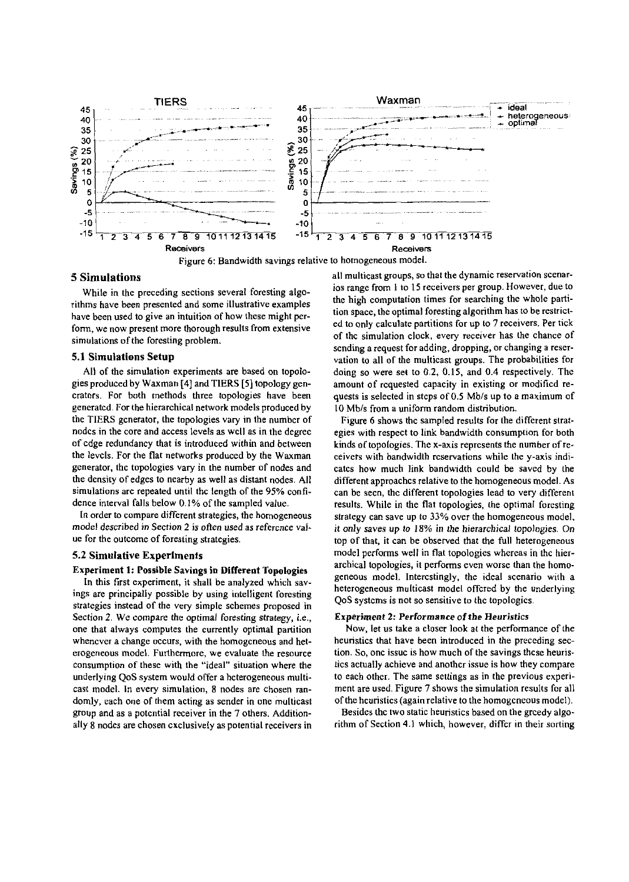

Figure 6: Bandwidth savings relative to homogeneous model.

# 5 Simulations

While in the preceding sections several foresting algorithms have been presented and some illustrative examples have been used to give an intuition of how these might perform, we now present more thorough results from extensive simulations of the foresting problem.

## 5.1 Simulations Setup

All of the simulation experiments are based on topologies produced by Waxman [4] and TIERS [5] topology gencrators. For both methods three topologies have been generatcd. For the hierarchical network models produced by the TIERS gcnerator, the topologies vary in the numbcr of nodcs in the core and access levels as wcll as in the degrec of cdge redundancy that is introduced within and between the levcls. For the flat networks produced by the Waxman generator. thc topologies vary in the number of nodes and the density of edges to nearby as well as distant nodes. All simulations are repeated until thc length of the 95% confidence interval falls below 0.1% of the sampled value.

In order **to** compare different strategies, the homogeneous model described in Section 2 is otten used as refercnce value for the outcome of foresting strategies.

# 5.2 Simulative Experiments

# Experiment 1: Possible Savings in Different Topologies

In this first experiment, it shall be analyzed which savings are principally possible by using intelligent foresting strategies instead of the very simple schemes proposed in Section 2. We compare the optimal foresting strategy, i.e., one that always computes the currently optimal partition whencver a change occurs, with the homogcneous and heterogeneous model. Furthermore, we evaluate the resource consumption of these with the "ideal" situation where the underlying QoS System would offer a hcterogeneous multicast model. In every simulation, 8 nodes are chosen randomly, each one of them acting as sender in one multicast group and as a potential receiver in the 7 others. Additionally 8 nodes are chosen cxclusively as potential receivers in

all multicast groups, so that the dynamic reservation scenarios range from 1 to 15 receivers per group. However, due to the high computafion times for searching the whole partition space, the optimal foresting algorithm has to be resiricted to only calculate partitions for up to 7 receivers. Per tick of thc simulation clock, every receiver has the chance of scnding a request for adding, dropping, or changing a reservation to all of the multicast groups. The probabilities for doing so were set to 0.2, 0.15, and 0.4 respectively. The amount of rcquesied capacity in existing or modificd requests is selected in stcps of 0.5 Mb/s up to a maximum of 10 Mbis from a uniform random distribution.

Figure 6 shows thc sampled results for the different strategies with respect to link bandwidth consumption for both kinds of topologies. The x-aais reprcsents the number of receivers with bandwidth rcservations while lhe y-axis indicatcs how much link bandwidth could be saved by the different approachcs relative to the homogeneous model. As can be secn, thc different topologies lead to very different results. While in the flat topologies, the optimal foresting strategy can save up to 33% over the homogeneous model, it only saves up to 18% in the hierarchical topolagies. On top of that, it can be observed that the full heterogeneous model performs well in flat topologies whereas in thc hierarchical topologies, it performs even worse than the homogeneous model. Intercstingly. the ideal scenario with a heterogeneous multicast model offcred by the underlying QoS systcms is not so sensitive to thc topologics.

#### Experiment 2: Performance of the Heuristics

Now, let us take a closer look at the performance of ihe heuristics that have been introduced in the preceding section. So, onc issuc is how much of the savings thcse heurislics actually achieve and anothcr issue is how they compare to each other. The same settings as in the previous experiment are used. Figure 7 shows the simulation results for all of the hcuristics (again relative to the homogcneous model).

Besides thc two static heuristics based on the grcedy algorithm of Section 4.1 which, however, diffcr in their sorting